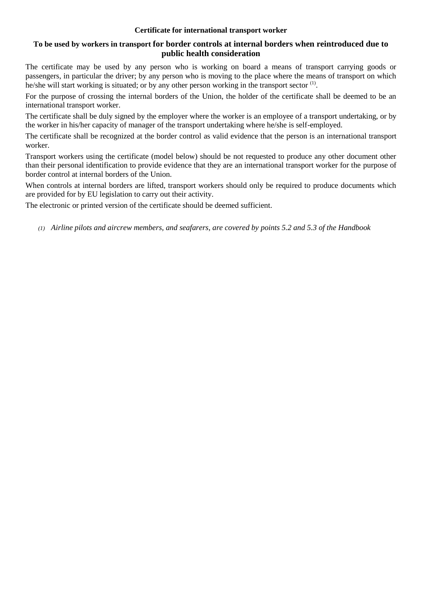### **Certificate for international transport worker**

# **To be used by workers in transport for border controls at internal borders when reintroduced due to public health consideration**

The certificate may be used by any person who is working on board a means of transport carrying goods or passengers, in particular the driver; by any person who is moving to the place where the means of transport on which he/she will start working is situated; or by any other person working in the transport sector <sup>(1)</sup>.

For the purpose of crossing the internal borders of the Union, the holder of the certificate shall be deemed to be an international transport worker.

The certificate shall be duly signed by the employer where the worker is an employee of a transport undertaking, or by the worker in his/her capacity of manager of the transport undertaking where he/she is self-employed.

The certificate shall be recognized at the border control as valid evidence that the person is an international transport worker.

Transport workers using the certificate (model below) should be not requested to produce any other document other than their personal identification to provide evidence that they are an international transport worker for the purpose of border control at internal borders of the Union.

When controls at internal borders are lifted, transport workers should only be required to produce documents which are provided for by EU legislation to carry out their activity.

The electronic or printed version of the certificate should be deemed sufficient.

*(1) Airline pilots and aircrew members, and seafarers, are covered by points 5.2 and 5.3 of the Handbook*